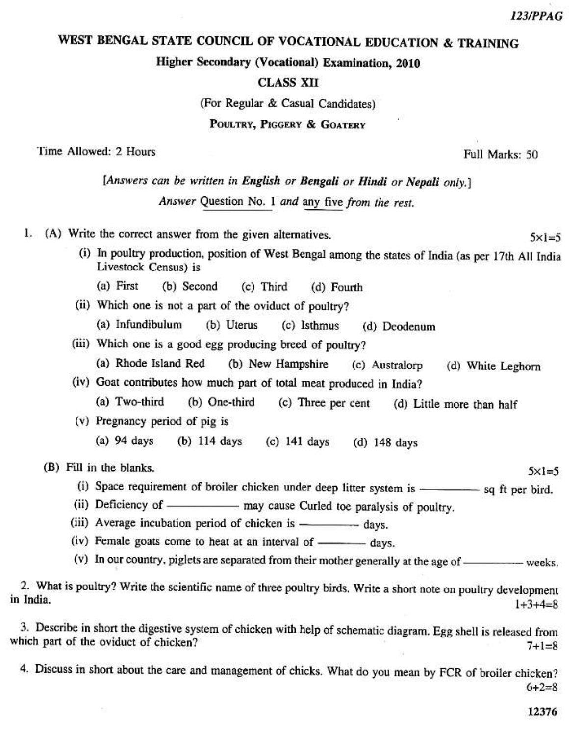$5x1=5$ 

 $5 \times 1 = 5$ 

## WEST BENGAL STATE COUNCIL OF VOCATIONAL EDUCATION & TRAINING

Higher Secondary (Vocational) Examination, 2010

## **CLASS XII**

(For Regular & Casual Candidates)

POULTRY, PIGGERY & GOATERY

Time Allowed: 2 Hours

Full Marks: 50

[Answers can be written in English or Bengali or Hindi or Nepali only.]

Answer Question No. 1 and any five from the rest.

1. (A) Write the correct answer from the given alternatives.

- (i) In poultry production, position of West Bengal among the states of India (as per 17th All India Livestock Census) is
	- (a) First (b) Second  $(c)$  Third (d) Fourth
- (ii) Which one is not a part of the oviduct of poultry?
	- (a) Infundibulum (b) Uterus (c) Isthmus (d) Deodenum
- (iii) Which one is a good egg producing breed of poultry?
	- (a) Rhode Island Red (b) New Hampshire (c) Australorp (d) White Leghorn
- (iv) Goat contributes how much part of total meat produced in India?
	- (a) Two-third (b) One-third (c) Three per cent (d) Little more than half
- (v) Pregnancy period of pig is
	- $(a)$  94 days  $(b)$  114 days  $(c)$  141 days  $(d)$  148 days

(B) Fill in the blanks.

- (i) Space requirement of broiler chicken under deep litter system is sq ft per bird.
- (ii) Deficiency of —————— may cause Curled toe paralysis of poultry.
- (iii) Average incubation period of chicken is days.
- (iv) Female goats come to heat at an interval of ————— days.
- (v) In our country, piglets are separated from their mother generally at the age of weeks.

2. What is poultry? Write the scientific name of three poultry birds. Write a short note on poultry development in India.  $1+3+4=8$ 

3. Describe in short the digestive system of chicken with help of schematic diagram. Egg shell is released from which part of the oviduct of chicken?  $7 + 1 = 8$ 

4. Discuss in short about the care and management of chicks. What do you mean by FCR of broiler chicken?  $6 + 2 = 8$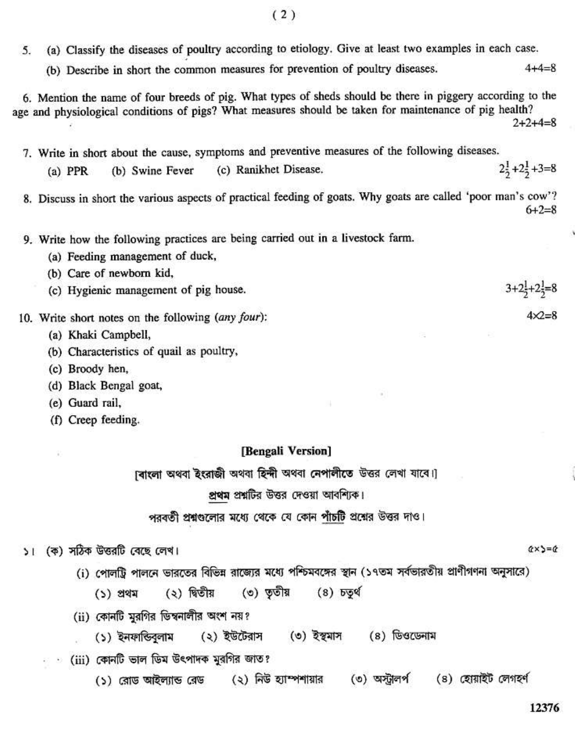- (a) Classify the diseases of poultry according to etiology. Give at least two examples in each case. 5
	- (b) Describe in short the common measures for prevention of poultry diseases.  $4 + 4 = 8$

6. Mention the name of four breeds of pig. What types of sheds should be there in piggery according to the age and physiological conditions of pigs? What measures should be taken for maintenance of pig health?  $2 + 2 + 4 = 8$ 

7. Write in short about the cause, symptoms and preventive measures of the following diseases.  $2\frac{1}{2}+2\frac{1}{2}+3=8$ (b) Swine Fever (c) Ranikhet Disease.  $(a)$  PPR

8. Discuss in short the various aspects of practical feeding of goats. Why goats are called 'poor man's cow'?  $6 + 2 = 8$ 

- 9. Write how the following practices are being carried out in a livestock farm.
	- (a) Feeding management of duck.
	- (b) Care of newborn kid.
	- (c) Hygienic management of pig house.
- 10. Write short notes on the following (any four):
	- (a) Khaki Campbell,
	- (b) Characteristics of quail as poultry,
	- (c) Broody hen,
	- (d) Black Bengal goat,
	- (e) Guard rail.
	- (f) Creep feeding.

## [Bengali Version]

।বাংলা অথবা ইংরাজী অথবা হিন্দী অথবা নেপালীতে উত্তর লেখা যাবে।

## প্রথম প্রশ্নটির উত্তর দেওয়া আবশ্যিক।

পরবর্তী প্রশ্নগুলোর মধ্যে থেকে যে কোন পাঁচটি প্রশ্নের উত্তর দাও।

(ক) সঠিক উত্তরটি বেছে লেখ।  $\mathbf{v}$ 

- (i) পোলট্টি পালনে ভারতের বিভিন্ন রাজ্যের মধ্যে পশ্চিমবঙ্গের স্থান (১৭তম সর্বভারতীয় প্রাণীগণনা অনুসারে)
	- (৩) ততীয় (২) দ্বিতীয়  $(8)$   $509$ (১) প্ৰথম
- (ii) কোনটি মুরগির ডিম্বনালীর অংশ নয়?
	- (১) ইনফান্ডিবলাম  $(0)$  ইস্থমাস (৪) ডিওডেনাম (২) ইউটেরাস
- · (iii) কোনটি ভাল ডিম উৎপাদক মুরগির জাত?
	- $(3)$  নিউ হ্যাম্পৰ্শায়ার (৩) অস্ট্রালর্প (8) হোয়াইট লেগহৰ্ণ (১) রোড আইল্যান্ড রেড

 $Q \times S = Q$